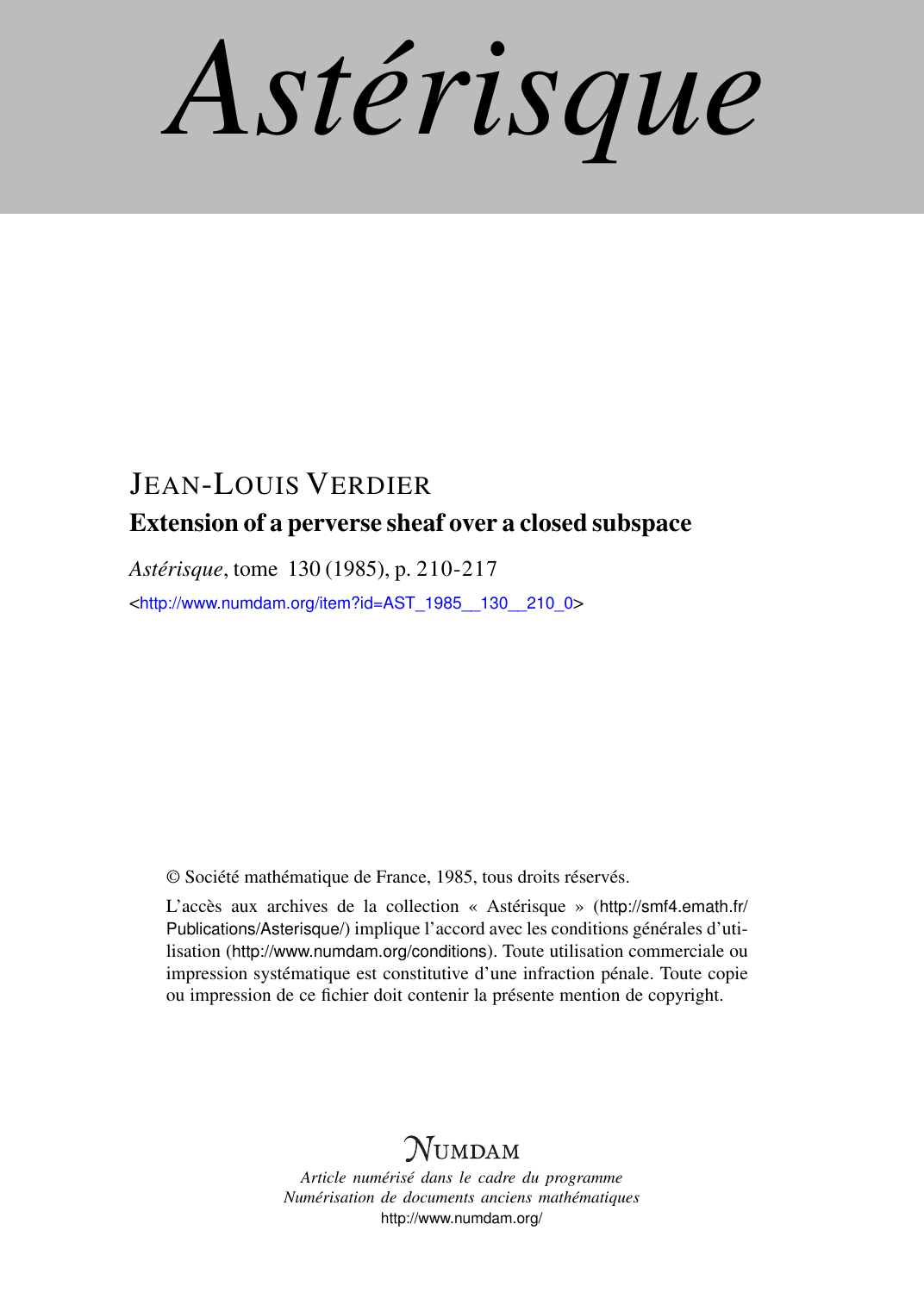*Astérisque*

# JEAN-LOUIS VERDIER Extension of a perverse sheaf over a closed subspace

*Astérisque*, tome 130 (1985), p. 210-217

<[http://www.numdam.org/item?id=AST\\_1985\\_\\_130\\_\\_210\\_0](http://www.numdam.org/item?id=AST_1985__130__210_0)>

© Société mathématique de France, 1985, tous droits réservés.

L'accès aux archives de la collection « Astérisque » ([http://smf4.emath.fr/](http://smf4.emath.fr/Publications/Asterisque/) [Publications/Asterisque/](http://smf4.emath.fr/Publications/Asterisque/)) implique l'accord avec les conditions générales d'utilisation (<http://www.numdam.org/conditions>). Toute utilisation commerciale ou impression systématique est constitutive d'une infraction pénale. Toute copie ou impression de ce fichier doit contenir la présente mention de copyright.

# **NUMDAM**

*Article numérisé dans le cadre du programme Numérisation de documents anciens mathématiques* <http://www.numdam.org/>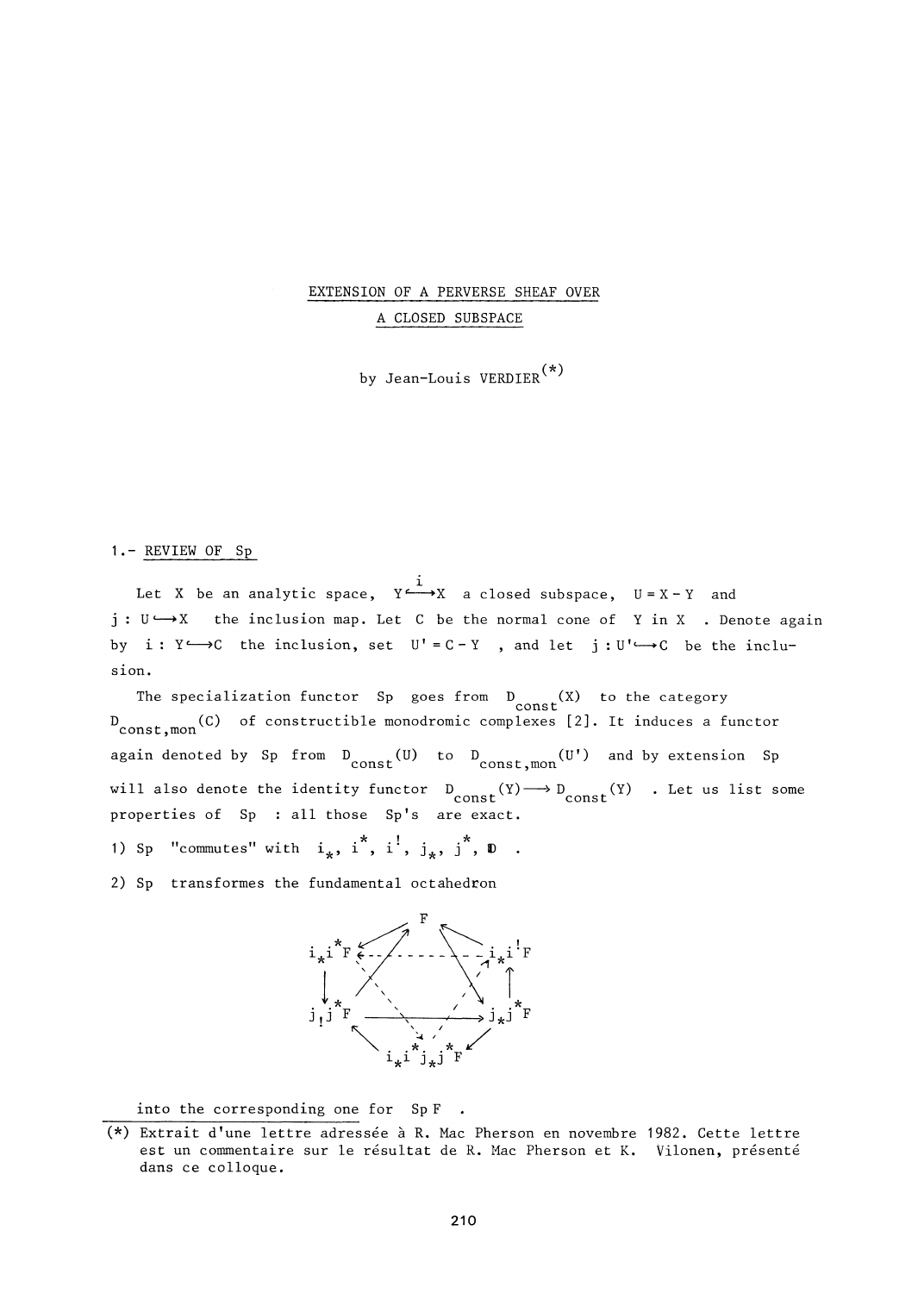EXTENSION OF A PERVERSE SHEAF OVER A CLOSED SUBSPACE

by Jean-Louis VERDIER<sup>(\*)</sup>

## 1.- REVIEW OF Sp

Let X be an analytic space,  $Y \rightarrow X$  a closed subspace,  $U = X - Y$  and  $j: U \longrightarrow X$  the inclusion map. Let C be the normal cone of Y in X . Denote again j : Using the inclusion map . Let  $U$  be the inclusion map . Let  $U$  in  $X$  in  $X$  ,  $\mathcal{S}$  is a set of  $Y$  in  $X$  . Denote a gain  $X$ by i : Yc—*>C* the inclusion, set U' =C- Y , and let j :Uf<—>C be the inclu-

 $T_{\text{max}}$  goes from D (X) to the category  $\frac{1}{\sqrt{2}}$  to the category  $\frac{1}{\sqrt{2}}$ const D (C) of constructible monodromic complexes [2]. It induces a functor const,mon again denoted by Sp from  $D_{\text{const}}^{U}$  to  $D_{\text{const}}^{U}$  and by extension Sp  $\sigma$  functor  $D$   $(V)$   $\longrightarrow$   $D$ will also denote the identity function  $\mathcal{L}$  of  $\mathcal{L}$  . Let us list some  $\mathcal{L}$  of  $\mathcal{L}$  . Let us list some  $\mathcal{L}$  is a constant some  $\mathcal{L}$  . properties of Sp : all those Sp's are exact.

1) Sp "commutes" with  $i_k$ ,  $i^*$ ,  $i^!,$   $j_k$ ,  $j^*$ ,  $D$ .

2) Sp transformes the fundamental octahedron



into the corresponding one for SpF.

<sup>(\*)</sup> Extrait d'une lettre adressée à R. Mac Pherson en novembre 1982. Cette lettre est un commentaire sur le résultat de R. Mac Pherson et K. Vilonen, présenté dans ce colloque.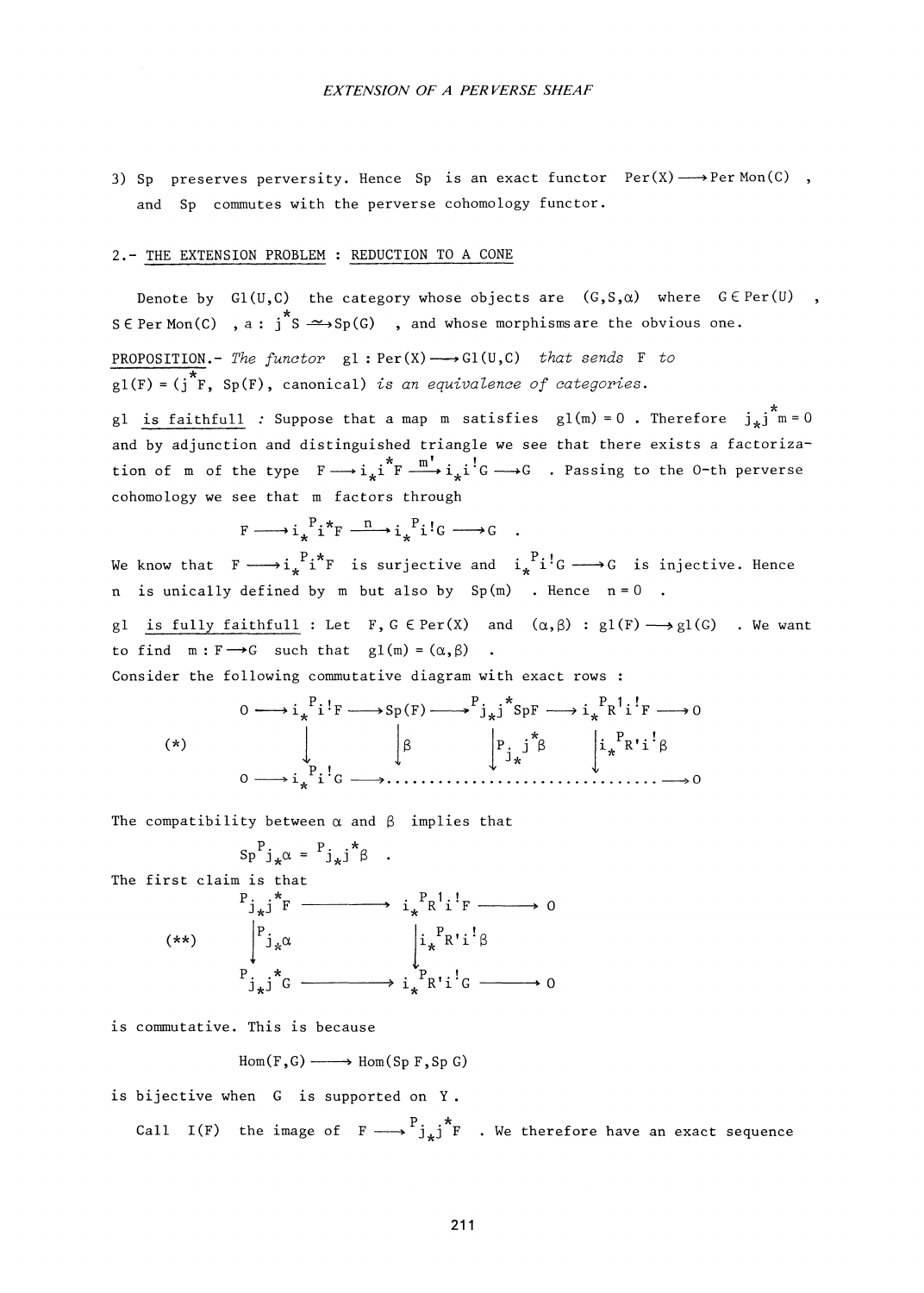3) Sp preserves perversity. Hence Sp is an exact functor  $Per(X) \longrightarrow Per Mon(C)$ , and Sp commutes with the perverse cohomology functor.

### 2.- THE EXTENSION PROBLEM : REDUCTION TO A CONE

cohomology we see that m factors through

Denote by  $Gl(U,C)$  the category whose objects are  $(G,S,\alpha)$  where  $G \in Per(U)$ ,  $^{\star}$   $\sim$ S **6** Per Mon(C) , a : j S -^-»Sp(G) , and whose morphisrosare the obvious one. PROPOSITION.- The functor  $gl : Per(X) \longrightarrow Gl(U,C)$  that sends F to  $gl(F) = (j^*F, Sp(F),$  canonical) is an equivalence of categories. gl is faithfull : Suppose that a map m satisfies  $gl(m) = 0$ . Therefore  $j_* j^* m = 0$ and by adjunction and distinguished triangle we see that there exists a factoriza-  $*_{\text{F}} \stackrel{\text{m}'}{\longrightarrow} i i'.c$ tion of m of the type F  $\frac{1}{2}$   $\frac{1}{2}$   $\frac{1}{2}$   $\frac{1}{2}$   $\frac{1}{2}$   $\frac{1}{2}$   $\frac{1}{2}$   $\frac{1}{2}$   $\frac{1}{2}$   $\frac{1}{2}$   $\frac{1}{2}$   $\frac{1}{2}$   $\frac{1}{2}$   $\frac{1}{2}$   $\frac{1}{2}$   $\frac{1}{2}$   $\frac{1}{2}$   $\frac{1}{2}$   $\frac{1}{2}$   $\frac{1}{2$ 

$$
F \longrightarrow i_{\star}^{\ P} i^{\star} F \longrightarrow i_{\star}^{\ P} i^! G \longrightarrow G
$$

We know that  $F \longrightarrow i_*^P i^*F$  is surjective and  $i_*^P i^!G \longrightarrow G$  is injective. Hence  $W$  is the finite and it finds and its surjective and its injective and its injective and its injective. Hence  $n$  is unically defined by m but also by Sp  $(n)$  . Hence  $n = 0$ 

gl is fully faithfull : Let F, G  $\in$  Per(X) and  $(\alpha, \beta)$  : gl(F)  $\longrightarrow$  gl(G) . We want to find  $m : F \rightarrow G$  such that  $g1(m) = (\alpha, \beta)$ .

Consider the following commutative diagram with exact rows :

**(\*)**  0 i\* <sup>F</sup>Sp(F) P. .\* J\*J SpF .PI.' i. **R** i F •k 0 3 p. j 3 **J\***  . p .. » **xÄ R'i** 3 <sup>o</sup>. P. ! 1 G «0

The compatibility between  $\alpha$  and  $\beta$  implies that

$$
Sp^{P}j_{*}\alpha = \begin{array}{c} {^{p}P}j_{*}\beta \\ \vdots \\ {^{p}P}j_{*}\beta \end{array}
$$
\n  
\nThe first claim is that\n
$$
\begin{array}{c} {^{p}j_{*}\beta^{*}F} \longrightarrow {\begin{array}{c} {i_{*}}^{P}R^{1}i^{!}F \longrightarrow 0 \\ {^{p}j_{*}\alpha} \\ \vdots \\ {^{p}P}j_{*}\beta \end{array}} \\ \vdots \\ {^{p}P}k^{1}i^{!}\beta \end{array}
$$
\n
$$
\begin{array}{c} {^{p}j_{*}\alpha} \\ {^{p}j_{*}\beta} \\ \vdots \\ {^{p}P}k^{1}i^{!}G \longrightarrow 0 \end{array}
$$

is commutative. This is because

$$
Hom(F, G) \longrightarrow Hom(Sp F, Sp G)
$$

is bijective when G is supported on Y .

Call I(F) the image of  $F \longrightarrow {P_j}_* j^*F$  . We therefore have an exact sequence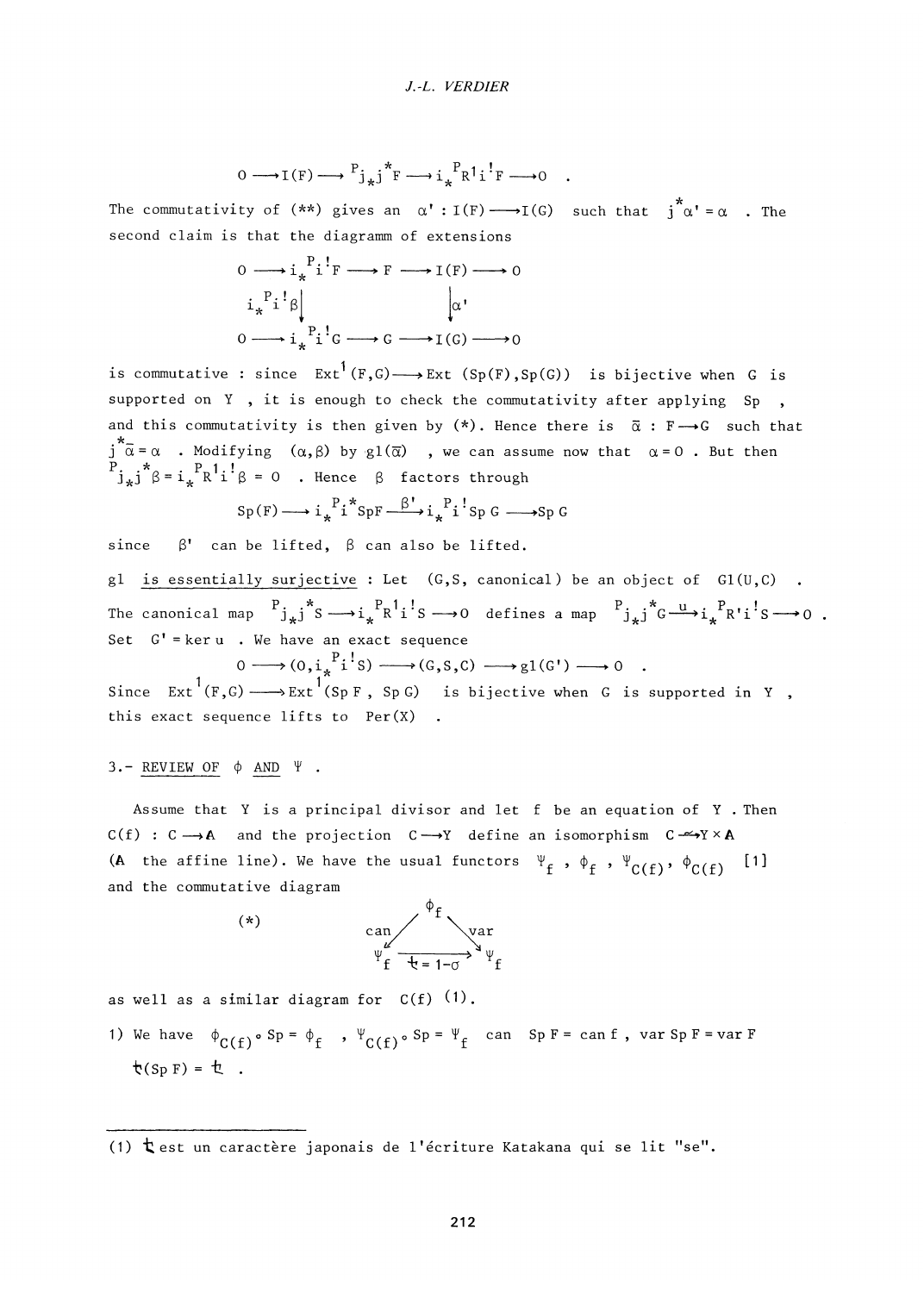$$
0 \longrightarrow I(F) \longrightarrow {}^{P}j_{*}j^{*}F \longrightarrow i_{*}{}^{P}R^{1}i^{!}F \longrightarrow 0
$$

The commutativity of  $(**)$  gives an  $\alpha' : I(F) \longrightarrow I(G)$  such that  $j^*\alpha' = \alpha$  . The second claim is that the diagramm of extensions

$$
0 \longrightarrow i_{*}^{P}i^{!}F \longrightarrow F \longrightarrow I(F) \longrightarrow 0
$$
  
\n
$$
i_{*}^{P}i^{!} \beta \downarrow \qquad \qquad \alpha'
$$
  
\n
$$
0 \longrightarrow i_{*}^{P}i^{!}G \longrightarrow G \longrightarrow I(G) \longrightarrow 0
$$

is commutative : since  $Ext^1(F,G) \longrightarrow Ext(Sp(F), Sp(G))$  is bijective when G is  $\sum_{i=1}^{n}$  is computed on  $N$  . Since  $S$  is a special is bijective when  $S$  is bijective when  $S$ supported on  $\Gamma$ , it is enough to check the commutativity after applying  $\mathfrak{sp}$ , and this commutativity is then given by  $(*)$ . Hence there is  $\bar{\alpha}$ :  $F \rightarrow G$  such that  $\overline{\alpha} = \alpha$  . Modifying  $(\alpha, \beta)$  by  $\varphi1(\overline{\alpha})$ **j a = a** . Modifying **(a,3)** by gl**(a)** , we can assume now that **a =** 0 . But then  $J_{*}J_{\beta} = 1_{*}$  K 1

$$
\mathrm{Sp}\,(\mathrm{F})\longrightarrow i_{\star}^{\phantom{X}P}i^{\star}\mathrm{SpF}\xrightarrow{\phantom{X}B^{\prime}}i_{\star}^{\phantom{X}P}i^{\phantom{X}P}s_{P}\,\mathrm{G}\xrightarrow{\phantom{X}Sp}\mathrm{G}
$$

since  $\beta'$  can be lifted,  $\beta$  can also be lifted.

gl is essentially surjective : Let (G,S, canonical) be an object of **G1**(U,C) The canonical map  $\begin{array}{c} {^{\mathrm{p}}\mathfrak{j}_{\ast} \text{j}}^* \text{s} \longrightarrow \text{i}_{{\ast}}\begin{array}{c} {^{\mathrm{p}}\mathsf{R}} \end{array} \begin{array}{c} 1 \ \text{i} \end{array} \text{s} \longrightarrow 0 \end{array}$  defines a map  $\begin{array}{c} {^{\mathrm{p}}\mathfrak{j}_{\ast} \text{j}}^* \text{G} \longrightarrow \text{i}_{{\ast}}\begin{array}{c} {^{\mathrm{p}}\mathsf{R}} \end{array} \begin{array}{c} 1 \ \text{j} \end$ **i/R i S**  act i\*j Set G' =keru . We have an exact sequence

 $0 \longrightarrow (0, i_*^{\ P}i^!s$  $\int_{0}^{\infty}$ isel $\int_{0}^{\infty}$  $(G, S, C) \longrightarrow gl(G') \longrightarrow 0$ 

Since Ext  $(F, G) \longrightarrow$  Ext  $(Sp F, Sp G)$  is bijective when G is supported in Y this exact sequence lifts to Per(X)

#### $3.-$  REVIEW OF  $\phi$  AND  $\Psi$ .

Assume that Y is a principal divisor and let f be an equation of Y . Then  $C(f) : C \longrightarrow A$  and the projection  $C \longrightarrow Y$  define an isomorphism  $C \longrightarrow Y \times A$ (A the affine line). We have the usual functors  $\Psi_f$ ,  $\phi_f$ ,  $\Psi_{C(f)}$ ,  $\phi_{C(f)}$  [1] and the commutative diagram

**(\*)** 



as well as a similar diagram for  $C(f)$   $(1)$ .

1) We have  $\phi_{C(f)} \circ Sp = \phi_f$  ,  $\Psi_{C(f)} \circ Sp = \Psi_f$  can Sp F = can f , var Sp F = var F  $\phi(Sp) = \phi$ .

(1)  $t$  est un caractère japonais de l'écriture Katakana qui se lit "se".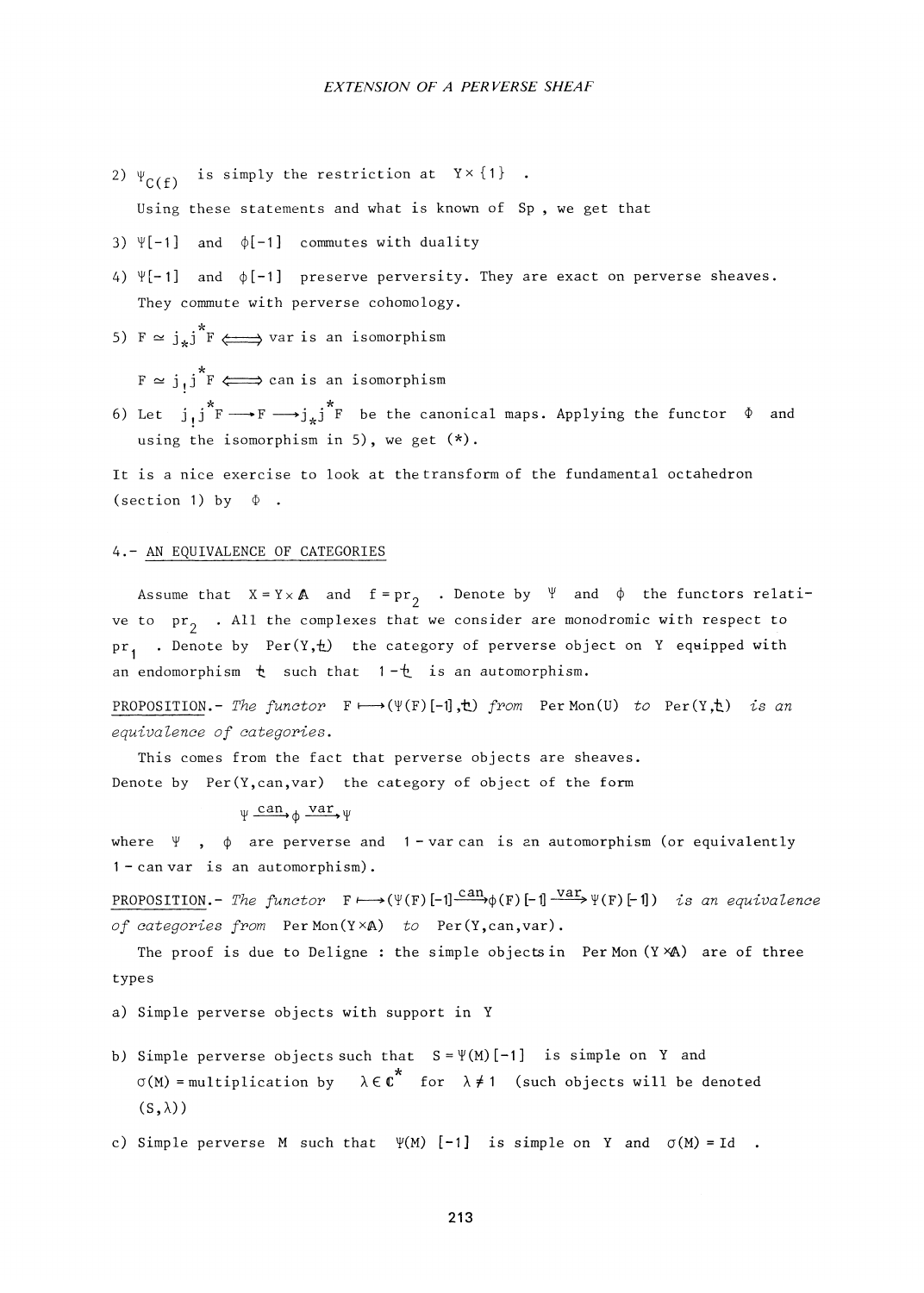2)  $\Psi_{C(f)}$  is simply the restriction at Y x {1}.

Using these statements and what is known of Sp , we get that

- 3)  $\Psi[-1]$  and  $\phi[-1]$  commutes with duality
- 4)  $\Pi[-1]$  and  $\phi[-1]$  preserve perversity. They are exact on perverse sheaves. They commute with perverse cohomology.
- 5)  $F \simeq j_*j^*F \iff \text{var is an isomorphism}$

 $F \simeq j_1 j^* F \Longleftrightarrow$  can is an isomorphism

6) Let  $j,j^*F \longrightarrow F \longrightarrow j_*j^*F$  be the canonical maps. Applying the functor  $\Phi$  and using the isomorphism in 5), we get (\*).

It is a nice exercise to look at the transform of the fundamental octahedron (section 1) by  $\Phi$ .

#### 4.- AN EQUIVALENCE OF CATEGORIES

Assume that  $X = Y \times A$  and  $f = pr_2$  . Denote by  $\forall$  and  $\phi$  the functors relative to  $pr^2$  . All the complexes that we consider are monodromic with respect to  $pr_1$  . Denote by Per(Y,t) the category of perverse object on Y equipped with an endomorphism  $t$  such that  $1-t$  is an automorphism.

PROPOSITION.- The functor  $F \mapsto (\Psi(F) [-1], \tau)$  from PerMon(U) to Per(Y, $\tau$ ) is an equivalence of categories.

This comes from the fact that perverse objects are sheaves. Denote by Per(Y,can,var) the category of object of the form

 $\psi \xrightarrow{can} \phi \xrightarrow{var} \psi$ 

where  $\Psi$ ,  $\phi$  are perverse and 1 - var can is an automorphism (or equivalently 1 - can var is an automorphism).

PROPOSITION.- The functor  $F \mapsto (\Psi(F) [-1] \frac{\text{can}}{\Psi(F)} [-1] \frac{\text{var}}{\Psi(F)} [-1]$  is an equivalence of categories from  $Per Mon(Y \times A)$  to  $Per(Y, can, var)$ .

The proof is due to Deligne: the simple objects in Per Mon  $(Y \times A)$  are of three types

a) Simple perverse objects with support in Y

- b) Simple perverse objects such that  $S = \Psi(M)[-1]$  is simple on Y and  $\sigma(M)$  = multiplication by  $\lambda \in \mathbb{C}^*$  for  $\lambda \neq 1$  (such objects will be denoted  $(S, \lambda))$
- c) Simple perverse M such that  $\Psi(M)$  [-1] is simple on Y and  $\sigma(M) = Id$ .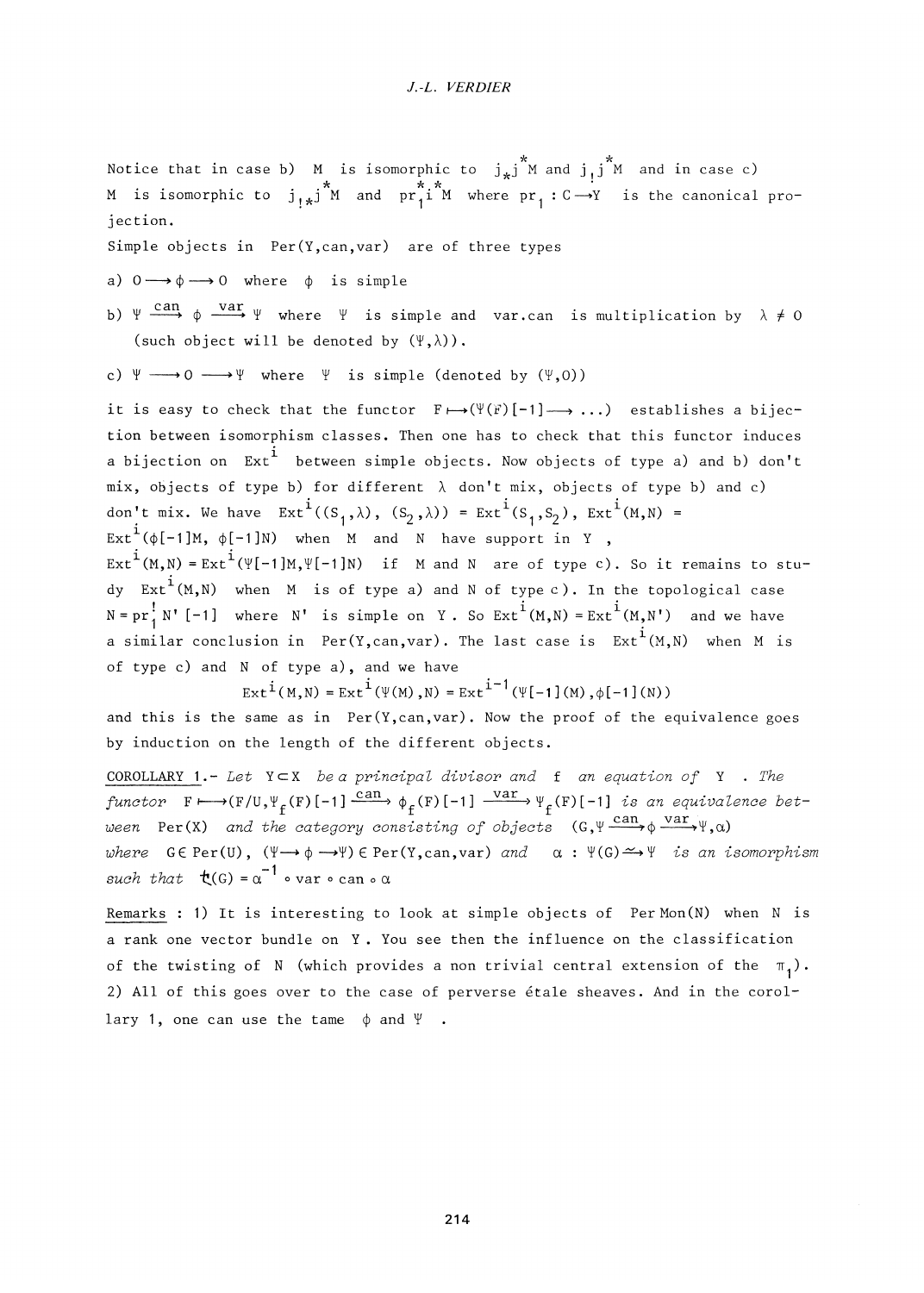Notice that in case b) M is isomorphic to  $j_*j^*M$  and  $j_jj^*M$  and in case c) M is isomorphic to  $j_{1*}j^*M$  and  $pr_1^{*}i^*M$  where  $pr_1 : C \rightarrow Y$  is the canonical projection.

Simple objects in Per(Y,can,var) are of three types

- a)  $0 \longrightarrow \phi \longrightarrow 0$  where  $\phi$  is simple
- can text  $\mathcal{D}$   $\mathcal{D}$   $\mathcal{D}$   $\mathcal{D}$   $\mathcal{D}$   $\mathcal{D}$   $\mathcal{D}$   $\mathcal{D}$   $\mathcal{D}$   $\mathcal{D}$   $\mathcal{D}$   $\mathcal{D}$   $\mathcal{D}$   $\mathcal{D}$   $\mathcal{D}$   $\mathcal{D}$   $\mathcal{D}$   $\mathcal{D}$   $\mathcal{D}$   $\mathcal{D}$   $\mathcal{D}$   $\mathcal{D}$   $\mathcal{D}$   $\mathcal{D}$   $\mathcal{$ (such object will be denoted by  $(\Psi, \lambda)$ ).
- c)  $\Psi \longrightarrow 0 \longrightarrow \Psi$  where  $\Psi$  is simple (denoted by  $(\Psi,0)$ )

it is easy to check that the functor  $F \mapsto (\Psi(F)[-1] \longrightarrow \dots)$  establishes a bijection between isomorphism classes. Then one has to check that this functor induces a bijection on  $Ext^1$  between simple objects. Now objects of type a) and b) don't mix, objects of type b) for different *X* don't mix, objects of type b) and c) don't mix. We have  $\text{Ext}^{\,i}((S_1,\lambda), (S_2,\lambda)) = \text{Ext}^{\,i}(S_1,S_2)$ ,  $\text{Ext}^{\,i}(M,N) =$ Ext<sup>1</sup>( $\phi$ [-1]M,  $\phi$ [-1]N) when M and N have support in Y,  $\text{Ext}^{\texttt{+}}(\texttt{M}, \texttt{N}) = \text{Ext}^{\texttt{+}}(\texttt{Y}[-1]\texttt{M}, \texttt{Y}[-1]\texttt{N}) \quad \text{if} \quad \texttt{M} \text{ and } \texttt{N} \text{ are of type c). So it remains to stu-}$ dy  $Ext^{\,i}(M,N)$  when M is of type a) and N of type c). In the topological case  $N = pr_1^1 N'$  [-1] where N' is simple on Y. So  $Ext^1(M,N) = Ext^1(M,N')$  and we have a similar conclusion in Per(Y,can,var). The last case is  $Ext^i(M,N)$  when M is

of type c) and N of type a), and we have

 $Ext^{\,i}(M,N) = Ext^{\,i}(\Psi(M),N) = Ext^{\,i-1}(\Psi[-1](M), \phi[-1](N))$ 

and this is the same as in Per(Y, can, var). Now the proof of the equivalence goes by induction on the length of the different objects.

COROLLARY 1.- *Let* YcX *be a principal divisor and* f *an equation of* Y . *The*   $functor$   $F \mapsto (F/U, \Psi_f(F)[-1] \xrightarrow{Cat \rightarrow} \phi_f(F)[-1] \xrightarrow{val \rightarrow} \Psi_f(F)[-1]$  is an equivalence bet*ween* Per(X) and the category consisting of objects (G,  $\Psi \xrightarrow{can} \phi \vee ar \vee \psi$ ,a) *where*  $G \in \text{Per}(U)$ ,  $(\Psi \rightarrow \phi \rightarrow \Psi) \in \text{Per}(Y, can, var)$  and  $\alpha : \Psi(G) \rightarrow \Psi$  is an isomorphism  $such that$   $\mathbf{t}(G) = \alpha^{-1} \cdot \text{var} \cdot \text{can} \cdot \alpha$ 

Remarks : 1) It is interesting to look at simple objects of  $Per Mon(N)$  when N is a rank one vector bundle on Y . You see then the influence on the classification of the twisting of N (which provides a non trivial central extension of the  $\pi_1$ ). 2) All of this goes over to the case of perverse etale sheaves. And in the corollary 1, one can use the tame  $\phi$  and  $\Psi$ .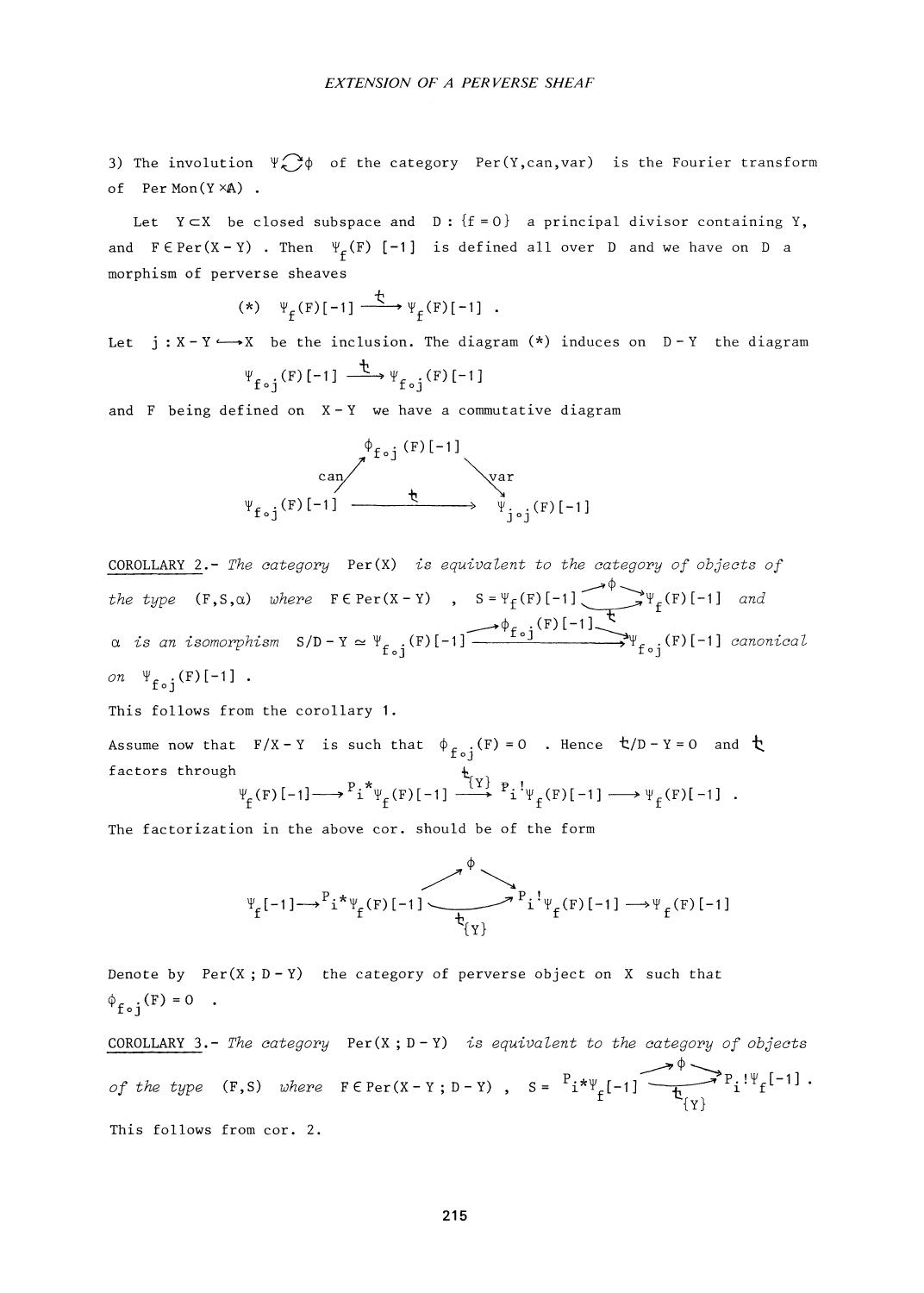3) The involution  $\Psi \rightarrow \phi$  of the category Per(Y,can,var) is the Fourier transform of PerMon $(Y \times A)$ .

Let  $Y \subset X$  be closed subspace and  $D : \{f = 0\}$  a principal divisor containing Y, and  $F \in Per(X-Y)$  . Then  $\Psi_f(F)$  [-1] is defined all over D and we have on D a morphism of perverse sheaves

$$
(*) \quad \Psi_{f}(F)[-1] \xrightarrow{f} \Psi_{f}(F)[-1] \quad .
$$

Let  $j : X - Y \longrightarrow X$  be the inclusion. The diagram  $(*)$  induces on  $D-Y$  the diagram

$$
\Psi_{f \circ j} (F) [-1] \xrightarrow{\text{t}} \Psi_{f \circ j} (F) [-1]
$$

and F being defined on  $X - Y$  we have a commutative diagram

$$
\begin{array}{ccc}\n&\phi_{f \circ j} (F)[-1] &\\ &\downarrow^{\text{var}} &\\ \psi_{f \circ j} (F)[-1] &\xrightarrow{\text{var}} &\\ \psi_{j \circ j} (F)[-1]\end{array}
$$

COROLLARY 2.- The category  $Per(X)$  is equivalent to the category of objects of the type  $(F, S, \alpha)$  where  $F \in Per(X - Y)$ ,  $S = \Psi_f(F)[-1] \longrightarrow \Psi_f(F)[-1]$  $S/D - Y \simeq \Psi_{\epsilon}$  (F)[-1]  $\phi_{f_{c},i}$ (F)[-1] .(F)[-1] canonical and a is an isomorphism on  $\Psi_{f \circ i} (F)$ [-1].

This follows from the corollary 1.

Assume now that  $F/X - Y$  is such that  $\phi_{f \circ j}(F) = 0$  . Hence  $\phi(f) - Y = 0$  and  $\phi$ factors through  $\Psi_{\epsilon}(\mathbf{F})\left[-1\right] \longrightarrow \mathbf{P}_{i}^* \Psi_{\epsilon}(\mathbf{F})\left[-1\right] \longrightarrow \mathbf{P}_{i}^* \Psi_{\epsilon}(\mathbf{F})\left[-1\right] \longrightarrow \Psi_{\epsilon}(\mathbf{F})\left[-1\right]$ 

The factorization in the above cor. should be of the form

$$
\Psi_{f}[-1] \longrightarrow^{P} i^* \Psi_{f}(F)[-1] \longrightarrow^{\phi} \Psi_{i} \Psi_{f}(F)[-1] \longrightarrow \Psi_{f}(F)[-1]
$$

Denote by  $Per(X; D-Y)$  the category of perverse object on X such that  $\phi_{f \circ i}(F) = 0$ . COROLLARY 3.- The category  $Per(X; D - Y)$  is equivalent to the category of objects of the type  $(F,S)$  where  $F \in Per(X-Y; D-Y)$  ,  $S = \begin{bmatrix} 1 \end{bmatrix} * \Psi_{\epsilon}[-1]$  $\overrightarrow{P}$   $P_i$  !  $\Psi$ <sub> $\epsilon$ </sub>[-1] .  ${Y}$ 

This follows from cor. 2.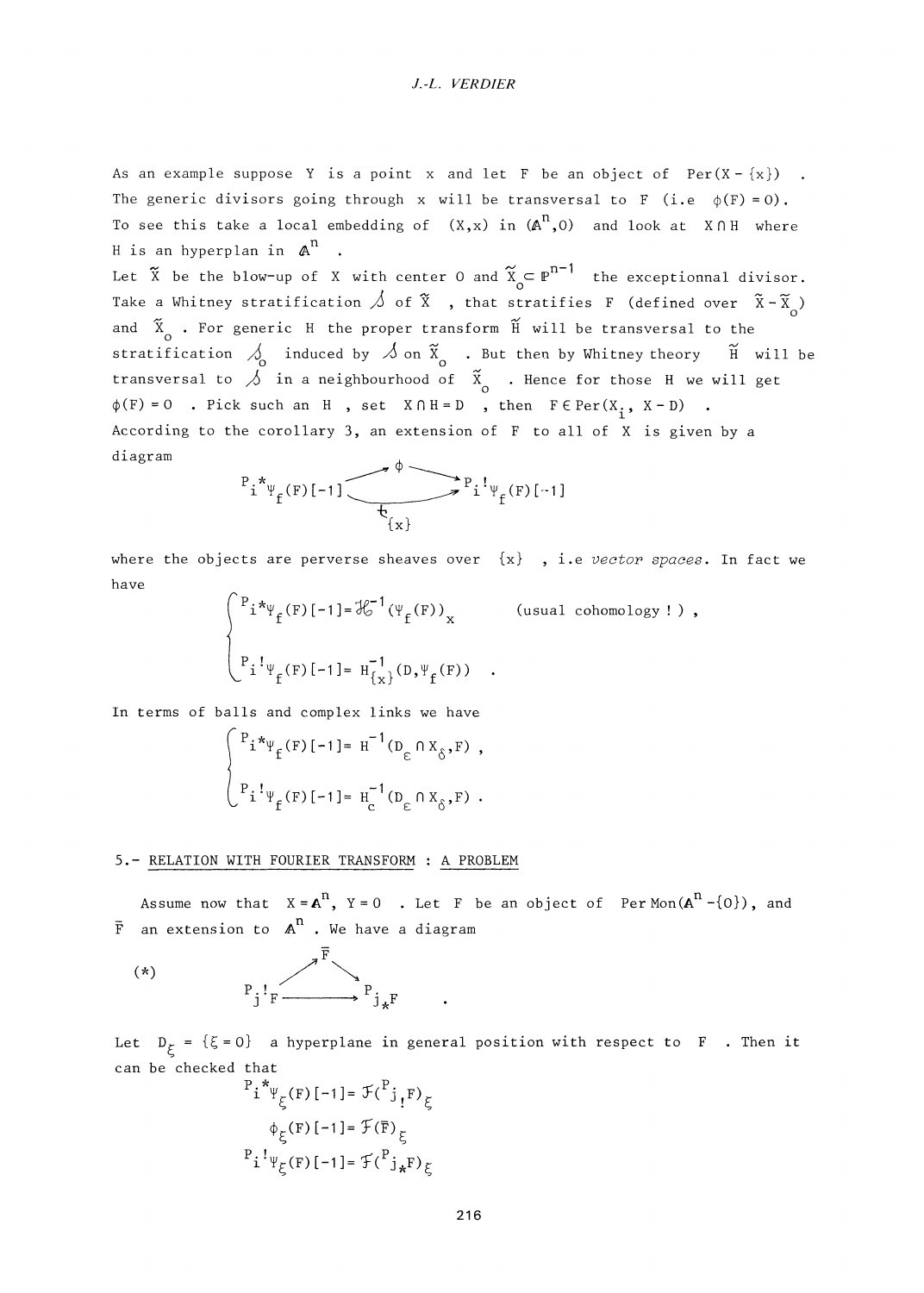#### *J.-L. VERDIER*

As an example suppose Y is a point x and let F be an object of  $Per(X - \{x\})$ . The generic divisors going through x will be transversal to F (i.e  $\phi(F) = 0$ ). To see this take a local embedding of  $(X, x)$  in  $(A^n, 0)$  and look at  $X \cap H$  where H is an hyperplan in  $A<sup>n</sup>$ 

Let  $\tilde{X}$  be the blow-up of X with center 0 and  $\tilde{X}_{\sim} \subset \mathbb{P}^{n-1}$  the exceptionnal divisor. Take a Whitney stratification  $\triangle$  of  $\tilde{x}$  , that stratifies F (defined over  $\tilde{x} - \tilde{x}$ ) and  $\tilde{X}_{\alpha}$  . For generic H the proper transform  $\tilde{H}$  will be transversal to the stratification  $\delta$  induced by  $\delta$  on  $\tilde{x}_{o}$  . But then by Whitney theory  $\tilde{H}$  will be transversal to  $\hat{\beta}$  in a neighbourhood of  $\tilde{\mathbf{x}}$  . Hence for those H we will get  $\phi(F) = 0$  . Pick such an H, set  $X \cap H = D$ , then  $F \in Per(X, X - D)$ . According to the corollary 3, an extension of  $F$  to all of X is given by a  $\Delta t$  acromording to the corollary 3, and  $\Delta t$  is given by all of  $\Delta t$  is given by all of  $\Delta t$  is given by all of  $\Delta t$ 

$$
P_i^* \psi_f(F)[-1]
$$

where the objects are perverse sheaves over  $\{x\}$ , i.e vector spaces. In fact we have

$$
\begin{cases} P_i * \psi_f(F)[-1] = \mathcal{H}^{-1}(\psi_f(F))_x & \text{(usual cohomology!)}, \\ P_i! \psi_f(F)[-1] = H_{\{x\}}^{-1}(D, \psi_f(F)) . \end{cases}
$$

In terms of balls and complex links we have

$$
\begin{cases} P_{i} *_{\Psi_{f}}(F)[-1] = H^{-1}(D_{\varepsilon} \cap X_{\delta}, F) , \\ P_{i} :_{\Psi_{f}}(F)[-1] = H_{c}^{-1}(D_{\varepsilon} \cap X_{\delta}, F) . \end{cases}
$$

#### 5,- RELATION WITH FOURIER TRANSFORM : A PROBLEM

Assume now that  $X = A^{n}$ ,  $Y = 0$  . Let F be an object of Per Mon( $A^{n} - \{0\}$ ), and  $\bar{F}$  an extension to  $A^{n}$ . We have a diagram

(\*) 
$$
P_j! F \longrightarrow P_{j*} F
$$

Let  $D_{\xi} = {\xi = 0}$  a hyperplane in general position with respect to F . Then it can be checked that

$$
P_i^* \psi_{\xi}(\mathbf{F}) [-1] = \mathcal{F}({}^P j_{!} \mathbf{F})_{\xi}
$$
  
\n
$$
\phi_{\xi}(\mathbf{F}) [-1] = \mathcal{F}(\overline{\mathbf{F}})_{\xi}
$$
  
\n
$$
P_i^! \psi_{\xi}(\mathbf{F}) [-1] = \mathcal{F}({}^P j_{*} \mathbf{F})_{\xi}
$$